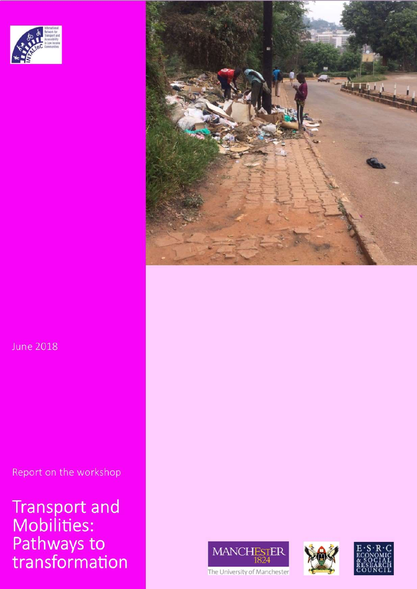

**June 2018** 

Report on the workshop

Transport and<br>Mobilities:<br>Pathways to<br>transformation









The University of Manchester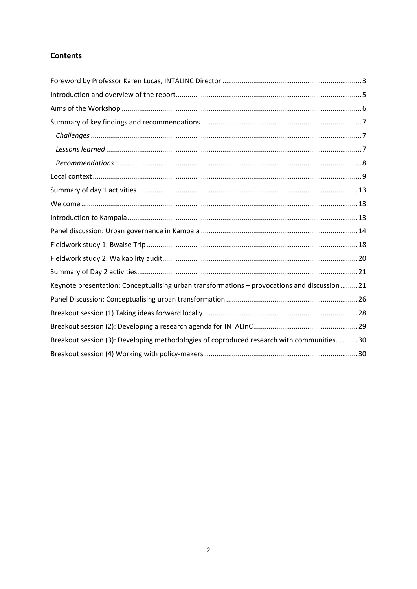## **Contents**

| Keynote presentation: Conceptualising urban transformations - provocations and discussion21 |
|---------------------------------------------------------------------------------------------|
|                                                                                             |
|                                                                                             |
|                                                                                             |
| Breakout session (3): Developing methodologies of coproduced research with communities30    |
|                                                                                             |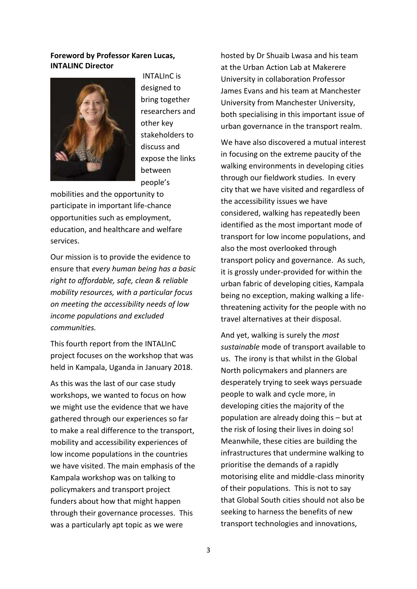## <span id="page-2-0"></span>**Foreword by Professor Karen Lucas, INTALINC Director**



INTALInC is designed to bring together researchers and other key stakeholders to discuss and expose the links between people's

mobilities and the opportunity to participate in important life-chance opportunities such as employment, education, and healthcare and welfare services.

Our mission is to provide the evidence to ensure that *every human being has a basic right to affordable, safe, clean & reliable mobility resources, with a particular focus on meeting the accessibility needs of low income populations and excluded communities.* 

This fourth report from the INTALInC project focuses on the workshop that was held in Kampala, Uganda in January 2018.

As this was the last of our case study workshops, we wanted to focus on how we might use the evidence that we have gathered through our experiences so far to make a real difference to the transport, mobility and accessibility experiences of low income populations in the countries we have visited. The main emphasis of the Kampala workshop was on talking to policymakers and transport project funders about how that might happen through their governance processes. This was a particularly apt topic as we were

hosted by Dr Shuaib Lwasa and his team at the Urban Action Lab at Makerere University in collaboration Professor James Evans and his team at Manchester University from Manchester University, both specialising in this important issue of urban governance in the transport realm.

We have also discovered a mutual interest in focusing on the extreme paucity of the walking environments in developing cities through our fieldwork studies. In every city that we have visited and regardless of the accessibility issues we have considered, walking has repeatedly been identified as the most important mode of transport for low income populations, and also the most overlooked through transport policy and governance. As such, it is grossly under-provided for within the urban fabric of developing cities, Kampala being no exception, making walking a lifethreatening activity for the people with no travel alternatives at their disposal.

And yet, walking is surely the *most sustainable* mode of transport available to us. The irony is that whilst in the Global North policymakers and planners are desperately trying to seek ways persuade people to walk and cycle more, in developing cities the majority of the population are already doing this – but at the risk of losing their lives in doing so! Meanwhile, these cities are building the infrastructures that undermine walking to prioritise the demands of a rapidly motorising elite and middle-class minority of their populations. This is not to say that Global South cities should not also be seeking to harness the benefits of new transport technologies and innovations,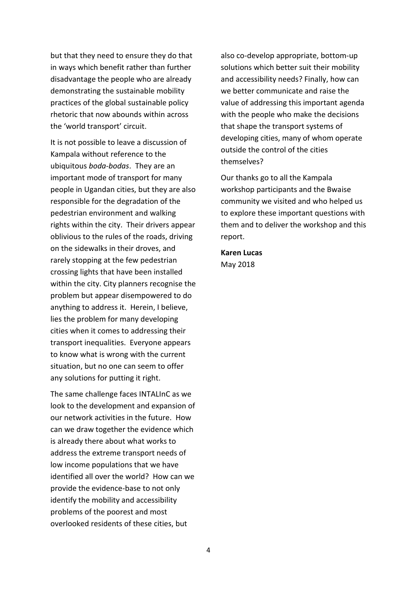but that they need to ensure they do that in ways which benefit rather than further disadvantage the people who are already demonstrating the sustainable mobility practices of the global sustainable policy rhetoric that now abounds within across the 'world transport' circuit.

It is not possible to leave a discussion of Kampala without reference to the ubiquitous *boda-bodas*. They are an important mode of transport for many people in Ugandan cities, but they are also responsible for the degradation of the pedestrian environment and walking rights within the city. Their drivers appear oblivious to the rules of the roads, driving on the sidewalks in their droves, and rarely stopping at the few pedestrian crossing lights that have been installed within the city. City planners recognise the problem but appear disempowered to do anything to address it. Herein, I believe, lies the problem for many developing cities when it comes to addressing their transport inequalities. Everyone appears to know what is wrong with the current situation, but no one can seem to offer any solutions for putting it right.

The same challenge faces INTALInC as we look to the development and expansion of our network activities in the future. How can we draw together the evidence which is already there about what works to address the extreme transport needs of low income populations that we have identified all over the world? How can we provide the evidence-base to not only identify the mobility and accessibility problems of the poorest and most overlooked residents of these cities, but

also co-develop appropriate, bottom-up solutions which better suit their mobility and accessibility needs? Finally, how can we better communicate and raise the value of addressing this important agenda with the people who make the decisions that shape the transport systems of developing cities, many of whom operate outside the control of the cities themselves?

Our thanks go to all the Kampala workshop participants and the Bwaise community we visited and who helped us to explore these important questions with them and to deliver the workshop and this report.

**Karen Lucas**  May 2018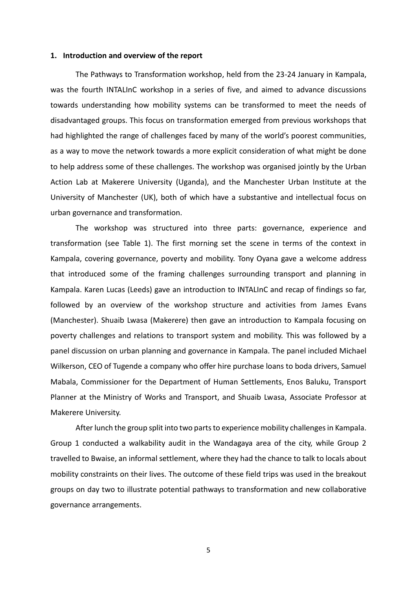#### <span id="page-4-0"></span>**1. Introduction and overview of the report**

The Pathways to Transformation workshop, held from the 23-24 January in Kampala, was the fourth INTALInC workshop in a series of five, and aimed to advance discussions towards understanding how mobility systems can be transformed to meet the needs of disadvantaged groups. This focus on transformation emerged from previous workshops that had highlighted the range of challenges faced by many of the world's poorest communities, as a way to move the network towards a more explicit consideration of what might be done to help address some of these challenges. The workshop was organised jointly by the Urban Action Lab at Makerere University (Uganda), and the Manchester Urban Institute at the University of Manchester (UK), both of which have a substantive and intellectual focus on urban governance and transformation.

The workshop was structured into three parts: governance, experience and transformation (see Table 1). The first morning set the scene in terms of the context in Kampala, covering governance, poverty and mobility. Tony Oyana gave a welcome address that introduced some of the framing challenges surrounding transport and planning in Kampala. Karen Lucas (Leeds) gave an introduction to INTALInC and recap of findings so far, followed by an overview of the workshop structure and activities from James Evans (Manchester). Shuaib Lwasa (Makerere) then gave an introduction to Kampala focusing on poverty challenges and relations to transport system and mobility. This was followed by a panel discussion on urban planning and governance in Kampala. The panel included Michael Wilkerson, CEO of Tugende a company who offer hire purchase loans to boda drivers, Samuel Mabala, Commissioner for the Department of Human Settlements, Enos Baluku, Transport Planner at the Ministry of Works and Transport, and Shuaib Lwasa, Associate Professor at Makerere University.

After lunch the group split into two parts to experience mobility challenges in Kampala. Group 1 conducted a walkability audit in the Wandagaya area of the city, while Group 2 travelled to Bwaise, an informal settlement, where they had the chance to talk to locals about mobility constraints on their lives. The outcome of these field trips was used in the breakout groups on day two to illustrate potential pathways to transformation and new collaborative governance arrangements.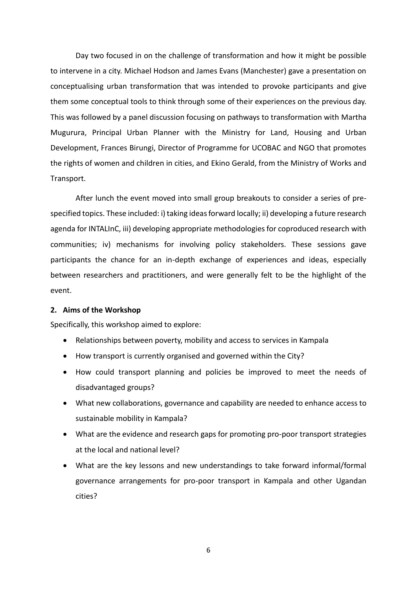Day two focused in on the challenge of transformation and how it might be possible to intervene in a city. Michael Hodson and James Evans (Manchester) gave a presentation on conceptualising urban transformation that was intended to provoke participants and give them some conceptual tools to think through some of their experiences on the previous day. This was followed by a panel discussion focusing on pathways to transformation with Martha Mugurura, Principal Urban Planner with the Ministry for Land, Housing and Urban Development, Frances Birungi, Director of Programme for UCOBAC and NGO that promotes the rights of women and children in cities, and Ekino Gerald, from the Ministry of Works and Transport.

After lunch the event moved into small group breakouts to consider a series of prespecified topics. These included: i) taking ideas forward locally; ii) developing a future research agenda for INTALInC, iii) developing appropriate methodologies for coproduced research with communities; iv) mechanisms for involving policy stakeholders. These sessions gave participants the chance for an in-depth exchange of experiences and ideas, especially between researchers and practitioners, and were generally felt to be the highlight of the event.

#### <span id="page-5-0"></span>**2. Aims of the Workshop**

Specifically, this workshop aimed to explore:

- Relationships between poverty, mobility and access to services in Kampala
- How transport is currently organised and governed within the City?
- How could transport planning and policies be improved to meet the needs of disadvantaged groups?
- What new collaborations, governance and capability are needed to enhance access to sustainable mobility in Kampala?
- What are the evidence and research gaps for promoting pro-poor transport strategies at the local and national level?
- What are the key lessons and new understandings to take forward informal/formal governance arrangements for pro-poor transport in Kampala and other Ugandan cities?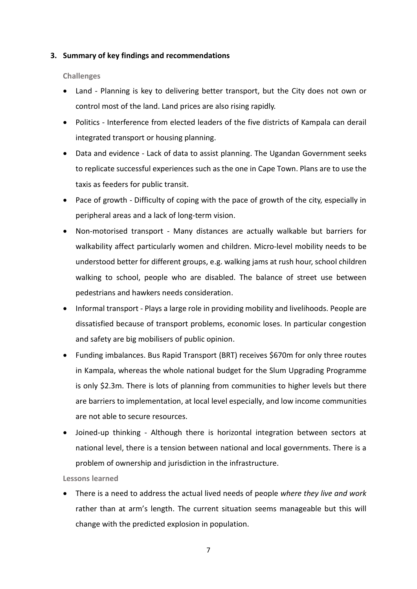## <span id="page-6-0"></span>**3. Summary of key findings and recommendations**

## <span id="page-6-1"></span>**Challenges**

- Land Planning is key to delivering better transport, but the City does not own or control most of the land. Land prices are also rising rapidly.
- Politics Interference from elected leaders of the five districts of Kampala can derail integrated transport or housing planning.
- Data and evidence Lack of data to assist planning. The Ugandan Government seeks to replicate successful experiences such as the one in Cape Town. Plans are to use the taxis as feeders for public transit.
- Pace of growth Difficulty of coping with the pace of growth of the city, especially in peripheral areas and a lack of long-term vision.
- Non-motorised transport Many distances are actually walkable but barriers for walkability affect particularly women and children. Micro-level mobility needs to be understood better for different groups, e.g. walking jams at rush hour, school children walking to school, people who are disabled. The balance of street use between pedestrians and hawkers needs consideration.
- Informal transport Plays a large role in providing mobility and livelihoods. People are dissatisfied because of transport problems, economic loses. In particular congestion and safety are big mobilisers of public opinion.
- Funding imbalances. Bus Rapid Transport (BRT) receives \$670m for only three routes in Kampala, whereas the whole national budget for the Slum Upgrading Programme is only \$2.3m. There is lots of planning from communities to higher levels but there are barriers to implementation, at local level especially, and low income communities are not able to secure resources.
- Joined-up thinking Although there is horizontal integration between sectors at national level, there is a tension between national and local governments. There is a problem of ownership and jurisdiction in the infrastructure.

## <span id="page-6-2"></span>**Lessons learned**

 There is a need to address the actual lived needs of people *where they live and work* rather than at arm's length. The current situation seems manageable but this will change with the predicted explosion in population.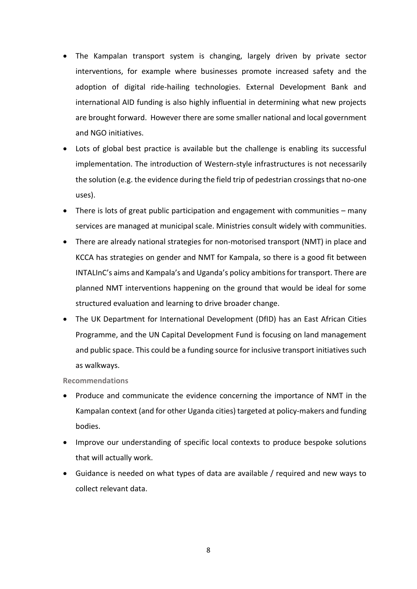- The Kampalan transport system is changing, largely driven by private sector interventions, for example where businesses promote increased safety and the adoption of digital ride-hailing technologies. External Development Bank and international AID funding is also highly influential in determining what new projects are brought forward. However there are some smaller national and local government and NGO initiatives.
- Lots of global best practice is available but the challenge is enabling its successful implementation. The introduction of Western-style infrastructures is not necessarily the solution (e.g. the evidence during the field trip of pedestrian crossings that no-one uses).
- There is lots of great public participation and engagement with communities many services are managed at municipal scale. Ministries consult widely with communities.
- There are already national strategies for non-motorised transport (NMT) in place and KCCA has strategies on gender and NMT for Kampala, so there is a good fit between INTALInC's aims and Kampala's and Uganda's policy ambitionsfor transport. There are planned NMT interventions happening on the ground that would be ideal for some structured evaluation and learning to drive broader change.
- The UK Department for International Development (DfID) has an East African Cities Programme, and the UN Capital Development Fund is focusing on land management and public space. This could be a funding source for inclusive transport initiatives such as walkways.

#### <span id="page-7-0"></span>**Recommendations**

- Produce and communicate the evidence concerning the importance of NMT in the Kampalan context (and for other Uganda cities) targeted at policy-makers and funding bodies.
- Improve our understanding of specific local contexts to produce bespoke solutions that will actually work.
- Guidance is needed on what types of data are available / required and new ways to collect relevant data.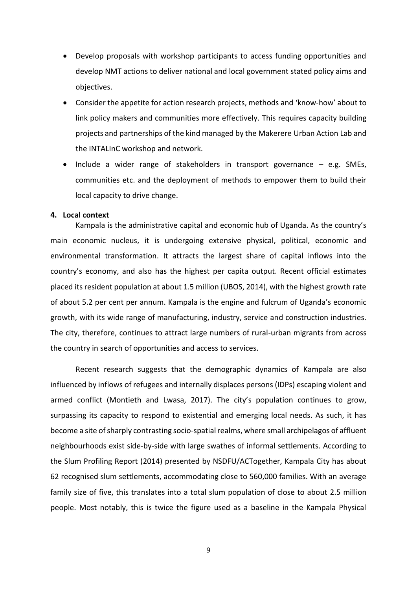- Develop proposals with workshop participants to access funding opportunities and develop NMT actions to deliver national and local government stated policy aims and objectives.
- Consider the appetite for action research projects, methods and 'know-how' about to link policy makers and communities more effectively. This requires capacity building projects and partnerships of the kind managed by the Makerere Urban Action Lab and the INTALInC workshop and network.
- $\bullet$  Include a wider range of stakeholders in transport governance  $-$  e.g. SMEs, communities etc. and the deployment of methods to empower them to build their local capacity to drive change.

#### <span id="page-8-0"></span>**4. Local context**

Kampala is the administrative capital and economic hub of Uganda. As the country's main economic nucleus, it is undergoing extensive physical, political, economic and environmental transformation. It attracts the largest share of capital inflows into the country's economy, and also has the highest per capita output. Recent official estimates placed its resident population at about 1.5 million (UBOS, 2014), with the highest growth rate of about 5.2 per cent per annum. Kampala is the engine and fulcrum of Uganda's economic growth, with its wide range of manufacturing, industry, service and construction industries. The city, therefore, continues to attract large numbers of rural-urban migrants from across the country in search of opportunities and access to services.

Recent research suggests that the demographic dynamics of Kampala are also influenced by inflows of refugees and internally displaces persons (IDPs) escaping violent and armed conflict (Montieth and Lwasa, 2017). The city's population continues to grow, surpassing its capacity to respond to existential and emerging local needs. As such, it has become a site of sharply contrasting socio-spatial realms, where small archipelagos of affluent neighbourhoods exist side-by-side with large swathes of informal settlements. According to the Slum Profiling Report (2014) presented by NSDFU/ACTogether, Kampala City has about 62 recognised slum settlements, accommodating close to 560,000 families. With an average family size of five, this translates into a total slum population of close to about 2.5 million people. Most notably, this is twice the figure used as a baseline in the Kampala Physical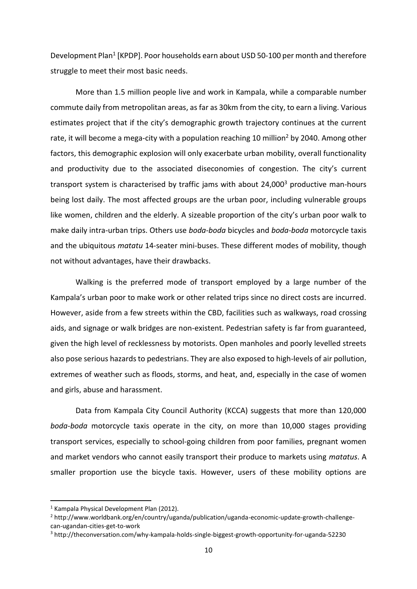Development Plan<sup>1</sup> [KPDP]. Poor households earn about USD 50-100 per month and therefore struggle to meet their most basic needs.

More than 1.5 million people live and work in Kampala, while a comparable number commute daily from metropolitan areas, as far as 30km from the city, to earn a living. Various estimates project that if the city's demographic growth trajectory continues at the current rate, it will become a mega-city with a population reaching 10 million<sup>2</sup> by 2040. Among other factors, this demographic explosion will only exacerbate urban mobility, overall functionality and productivity due to the associated diseconomies of congestion. The city's current transport system is characterised by traffic jams with about 24,000<sup>3</sup> productive man-hours being lost daily. The most affected groups are the urban poor, including vulnerable groups like women, children and the elderly. A sizeable proportion of the city's urban poor walk to make daily intra-urban trips. Others use *boda-boda* bicycles and *boda-boda* motorcycle taxis and the ubiquitous *matatu* 14-seater mini-buses. These different modes of mobility, though not without advantages, have their drawbacks.

Walking is the preferred mode of transport employed by a large number of the Kampala's urban poor to make work or other related trips since no direct costs are incurred. However, aside from a few streets within the CBD, facilities such as walkways, road crossing aids, and signage or walk bridges are non-existent. Pedestrian safety is far from guaranteed, given the high level of recklessness by motorists. Open manholes and poorly levelled streets also pose serious hazards to pedestrians. They are also exposed to high-levels of air pollution, extremes of weather such as floods, storms, and heat, and, especially in the case of women and girls, abuse and harassment.

Data from Kampala City Council Authority (KCCA) suggests that more than 120,000 *boda-boda* motorcycle taxis operate in the city, on more than 10,000 stages providing transport services, especially to school-going children from poor families, pregnant women and market vendors who cannot easily transport their produce to markets using *matatus*. A smaller proportion use the bicycle taxis. However, users of these mobility options are

**.** 

<sup>1</sup> Kampala Physical Development Plan (2012).

<sup>2</sup> http://www.worldbank.org/en/country/uganda/publication/uganda-economic-update-growth-challengecan-ugandan-cities-get-to-work

<sup>3</sup> http://theconversation.com/why-kampala-holds-single-biggest-growth-opportunity-for-uganda-52230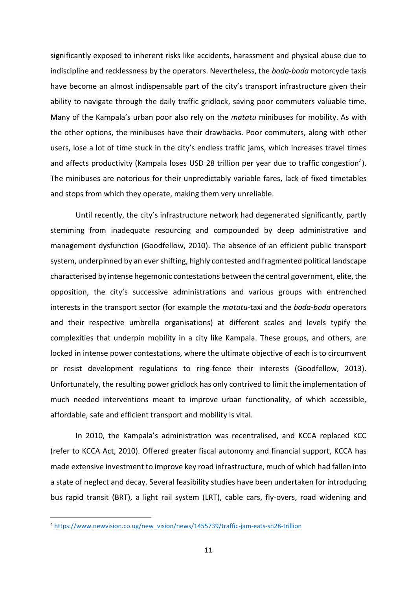significantly exposed to inherent risks like accidents, harassment and physical abuse due to indiscipline and recklessness by the operators. Nevertheless, the *boda-boda* motorcycle taxis have become an almost indispensable part of the city's transport infrastructure given their ability to navigate through the daily traffic gridlock, saving poor commuters valuable time. Many of the Kampala's urban poor also rely on the *matatu* minibuses for mobility. As with the other options, the minibuses have their drawbacks. Poor commuters, along with other users, lose a lot of time stuck in the city's endless traffic jams, which increases travel times and affects productivity (Kampala loses USD 28 trillion per year due to traffic congestion<sup>4</sup>). The minibuses are notorious for their unpredictably variable fares, lack of fixed timetables and stops from which they operate, making them very unreliable.

Until recently, the city's infrastructure network had degenerated significantly, partly stemming from inadequate resourcing and compounded by deep administrative and management dysfunction (Goodfellow, 2010). The absence of an efficient public transport system, underpinned by an ever shifting, highly contested and fragmented political landscape characterised by intense hegemonic contestations between the central government, elite, the opposition, the city's successive administrations and various groups with entrenched interests in the transport sector (for example the *matatu*-taxi and the *boda-boda* operators and their respective umbrella organisations) at different scales and levels typify the complexities that underpin mobility in a city like Kampala. These groups, and others, are locked in intense power contestations, where the ultimate objective of each is to circumvent or resist development regulations to ring-fence their interests (Goodfellow, 2013). Unfortunately, the resulting power gridlock has only contrived to limit the implementation of much needed interventions meant to improve urban functionality, of which accessible, affordable, safe and efficient transport and mobility is vital.

In 2010, the Kampala's administration was recentralised, and KCCA replaced KCC (refer to KCCA Act, 2010). Offered greater fiscal autonomy and financial support, KCCA has made extensive investment to improve key road infrastructure, much of which had fallen into a state of neglect and decay. Several feasibility studies have been undertaken for introducing bus rapid transit (BRT), a light rail system (LRT), cable cars, fly-overs, road widening and

<sup>4</sup> [https://www.newvision.co.ug/new\\_vision/news/1455739/traffic-jam-eats-sh28-trillion](https://www.newvision.co.ug/new_vision/news/1455739/traffic-jam-eats-sh28-trillion)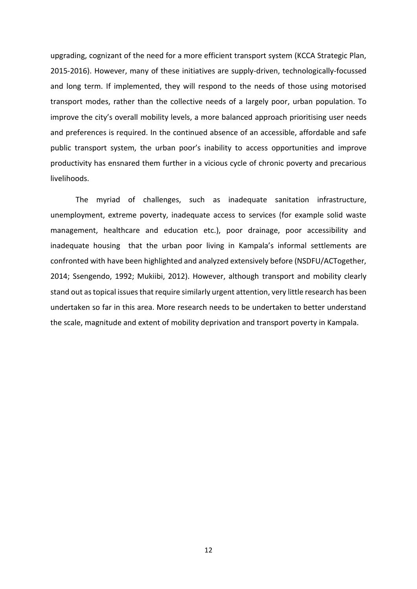upgrading, cognizant of the need for a more efficient transport system (KCCA Strategic Plan, 2015-2016). However, many of these initiatives are supply-driven, technologically-focussed and long term. If implemented, they will respond to the needs of those using motorised transport modes, rather than the collective needs of a largely poor, urban population. To improve the city's overall mobility levels, a more balanced approach prioritising user needs and preferences is required. In the continued absence of an accessible, affordable and safe public transport system, the urban poor's inability to access opportunities and improve productivity has ensnared them further in a vicious cycle of chronic poverty and precarious livelihoods.

The myriad of challenges, such as inadequate sanitation infrastructure, unemployment, extreme poverty, inadequate access to services (for example solid waste management, healthcare and education etc.), poor drainage, poor accessibility and inadequate housing that the urban poor living in Kampala's informal settlements are confronted with have been highlighted and analyzed extensively before (NSDFU/ACTogether, 2014; Ssengendo, 1992; Mukiibi, 2012). However, although transport and mobility clearly stand out as topical issues that require similarly urgent attention, very little research has been undertaken so far in this area. More research needs to be undertaken to better understand the scale, magnitude and extent of mobility deprivation and transport poverty in Kampala.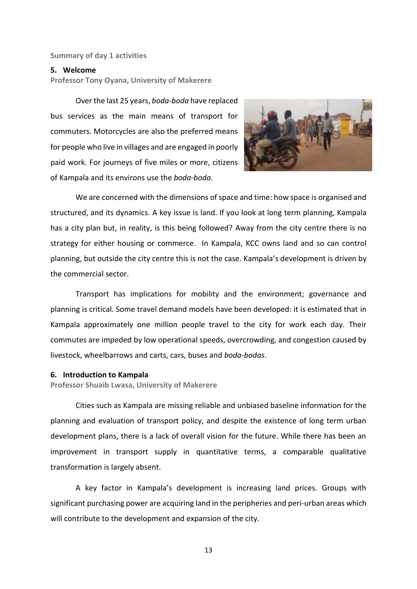#### <span id="page-12-0"></span>**Summary of day 1 activities**

#### <span id="page-12-1"></span>**5. Welcome**

**Professor Tony Oyana, University of Makerere**

Over the last 25 years, *boda-boda* have replaced bus services as the main means of transport for commuters. Motorcycles are also the preferred means for people who live in villages and are engaged in poorly paid work. For journeys of five miles or more, citizens of Kampala and its environs use the *boda-boda*.



We are concerned with the dimensions of space and time: how space is organised and structured, and its dynamics. A key issue is land. If you look at long term planning, Kampala has a city plan but, in reality, is this being followed? Away from the city centre there is no strategy for either housing or commerce. In Kampala, KCC owns land and so can control planning, but outside the city centre this is not the case. Kampala's development is driven by the commercial sector.

Transport has implications for mobility and the environment; governance and planning is critical. Some travel demand models have been developed: it is estimated that in Kampala approximately one million people travel to the city for work each day. Their commutes are impeded by low operational speeds, overcrowding, and congestion caused by livestock, wheelbarrows and carts, cars, buses and *boda-bodas*.

#### <span id="page-12-2"></span>**6. Introduction to Kampala**

**Professor Shuaib Lwasa, University of Makerere**

Cities such as Kampala are missing reliable and unbiased baseline information for the planning and evaluation of transport policy, and despite the existence of long term urban development plans, there is a lack of overall vision for the future. While there has been an improvement in transport supply in quantitative terms, a comparable qualitative transformation is largely absent.

A key factor in Kampala's development is increasing land prices. Groups with significant purchasing power are acquiring land in the peripheries and peri-urban areas which will contribute to the development and expansion of the city.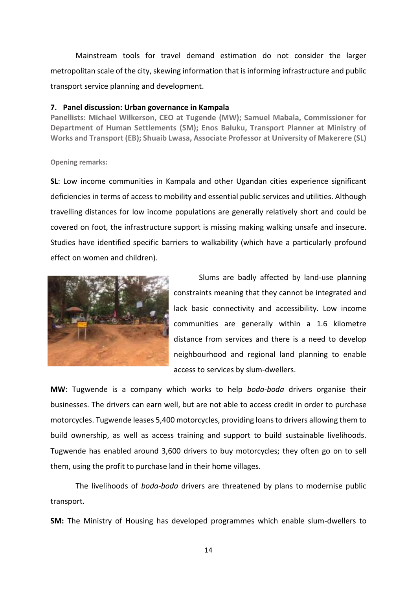Mainstream tools for travel demand estimation do not consider the larger metropolitan scale of the city, skewing information that is informing infrastructure and public transport service planning and development.

#### <span id="page-13-0"></span>**7. Panel discussion: Urban governance in Kampala**

**Panellists: Michael Wilkerson, CEO at Tugende (MW); Samuel Mabala, Commissioner for Department of Human Settlements (SM); Enos Baluku, Transport Planner at Ministry of Works and Transport (EB); Shuaib Lwasa, Associate Professor at University of Makerere (SL)**

#### **Opening remarks:**

**SL**: Low income communities in Kampala and other Ugandan cities experience significant deficiencies in terms of access to mobility and essential public services and utilities. Although travelling distances for low income populations are generally relatively short and could be covered on foot, the infrastructure support is missing making walking unsafe and insecure. Studies have identified specific barriers to walkability (which have a particularly profound effect on women and children).



Slums are badly affected by land-use planning constraints meaning that they cannot be integrated and lack basic connectivity and accessibility. Low income communities are generally within a 1.6 kilometre distance from services and there is a need to develop neighbourhood and regional land planning to enable access to services by slum-dwellers.

**MW**: Tugwende is a company which works to help *boda-boda* drivers organise their businesses. The drivers can earn well, but are not able to access credit in order to purchase motorcycles. Tugwende leases 5,400 motorcycles, providing loans to drivers allowing them to build ownership, as well as access training and support to build sustainable livelihoods. Tugwende has enabled around 3,600 drivers to buy motorcycles; they often go on to sell them, using the profit to purchase land in their home villages.

The livelihoods of *boda-boda* drivers are threatened by plans to modernise public transport.

**SM:** The Ministry of Housing has developed programmes which enable slum-dwellers to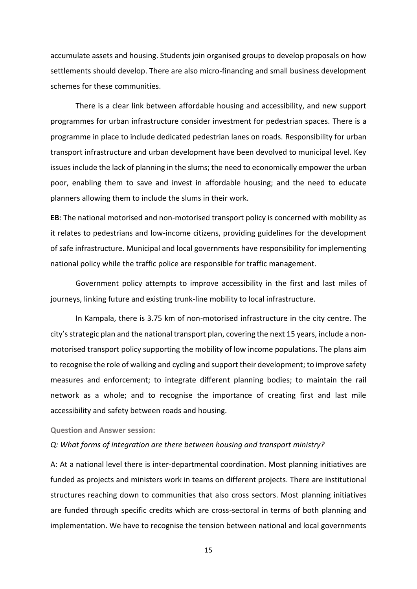accumulate assets and housing. Students join organised groups to develop proposals on how settlements should develop. There are also micro-financing and small business development schemes for these communities.

There is a clear link between affordable housing and accessibility, and new support programmes for urban infrastructure consider investment for pedestrian spaces. There is a programme in place to include dedicated pedestrian lanes on roads. Responsibility for urban transport infrastructure and urban development have been devolved to municipal level. Key issues include the lack of planning in the slums; the need to economically empower the urban poor, enabling them to save and invest in affordable housing; and the need to educate planners allowing them to include the slums in their work.

**EB**: The national motorised and non-motorised transport policy is concerned with mobility as it relates to pedestrians and low-income citizens, providing guidelines for the development of safe infrastructure. Municipal and local governments have responsibility for implementing national policy while the traffic police are responsible for traffic management.

Government policy attempts to improve accessibility in the first and last miles of journeys, linking future and existing trunk-line mobility to local infrastructure.

In Kampala, there is 3.75 km of non-motorised infrastructure in the city centre. The city's strategic plan and the national transport plan, covering the next 15 years, include a nonmotorised transport policy supporting the mobility of low income populations. The plans aim to recognise the role of walking and cycling and support their development; to improve safety measures and enforcement; to integrate different planning bodies; to maintain the rail network as a whole; and to recognise the importance of creating first and last mile accessibility and safety between roads and housing.

**Question and Answer session:**

#### *Q: What forms of integration are there between housing and transport ministry?*

A: At a national level there is inter-departmental coordination. Most planning initiatives are funded as projects and ministers work in teams on different projects. There are institutional structures reaching down to communities that also cross sectors. Most planning initiatives are funded through specific credits which are cross-sectoral in terms of both planning and implementation. We have to recognise the tension between national and local governments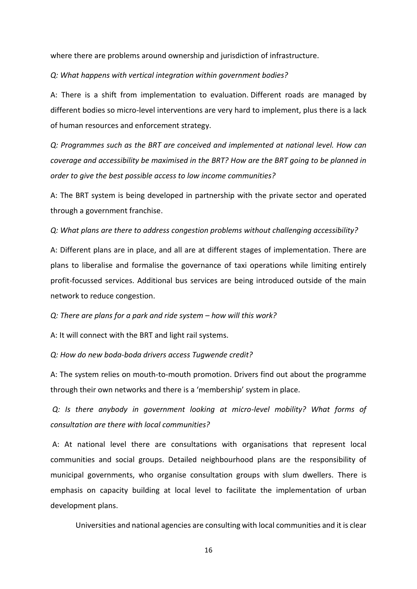where there are problems around ownership and jurisdiction of infrastructure.

*Q: What happens with vertical integration within government bodies?*

A: There is a shift from implementation to evaluation. Different roads are managed by different bodies so micro-level interventions are very hard to implement, plus there is a lack of human resources and enforcement strategy.

*Q: Programmes such as the BRT are conceived and implemented at national level. How can coverage and accessibility be maximised in the BRT? How are the BRT going to be planned in order to give the best possible access to low income communities?*

A: The BRT system is being developed in partnership with the private sector and operated through a government franchise.

#### *Q: What plans are there to address congestion problems without challenging accessibility?*

A: Different plans are in place, and all are at different stages of implementation. There are plans to liberalise and formalise the governance of taxi operations while limiting entirely profit-focussed services. Additional bus services are being introduced outside of the main network to reduce congestion.

*Q: There are plans for a park and ride system – how will this work?* 

A: It will connect with the BRT and light rail systems.

*Q: How do new boda-boda drivers access Tugwende credit?*

A: The system relies on mouth-to-mouth promotion. Drivers find out about the programme through their own networks and there is a 'membership' system in place.

*Q: Is there anybody in government looking at micro-level mobility? What forms of consultation are there with local communities?*

A: At national level there are consultations with organisations that represent local communities and social groups. Detailed neighbourhood plans are the responsibility of municipal governments, who organise consultation groups with slum dwellers. There is emphasis on capacity building at local level to facilitate the implementation of urban development plans.

Universities and national agencies are consulting with local communities and it is clear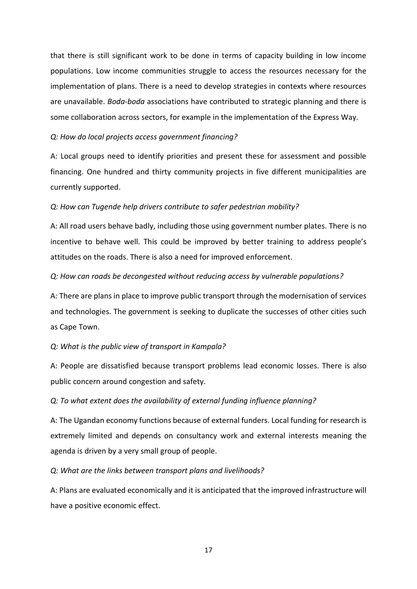that there is still significant work to be done in terms of capacity building in low income populations. Low income communities struggle to access the resources necessary for the implementation of plans. There is a need to develop strategies in contexts where resources are unavailable. *Boda-boda* associations have contributed to strategic planning and there is some collaboration across sectors, for example in the implementation of the Express Way.

### *Q: How do local projects access government financing?*

A: Local groups need to identify priorities and present these for assessment and possible financing. One hundred and thirty community projects in five different municipalities are currently supported.

#### *Q: How can Tugende help drivers contribute to safer pedestrian mobility?*

A: All road users behave badly, including those using government number plates. There is no incentive to behave well. This could be improved by better training to address people's attitudes on the roads. There is also a need for improved enforcement.

#### *Q: How can roads be decongested without reducing access by vulnerable populations?*

A: There are plans in place to improve public transport through the modernisation of services and technologies. The government is seeking to duplicate the successes of other cities such as Cape Town.

#### *Q: What is the public view of transport in Kampala?*

A: People are dissatisfied because transport problems lead economic losses. There is also public concern around congestion and safety.

#### *Q: To what extent does the availability of external funding influence planning?*

A: The Ugandan economy functions because of external funders. Local funding for research is extremely limited and depends on consultancy work and external interests meaning the agenda is driven by a very small group of people.

#### *Q: What are the links between transport plans and livelihoods?*

A: Plans are evaluated economically and it is anticipated that the improved infrastructure will have a positive economic effect.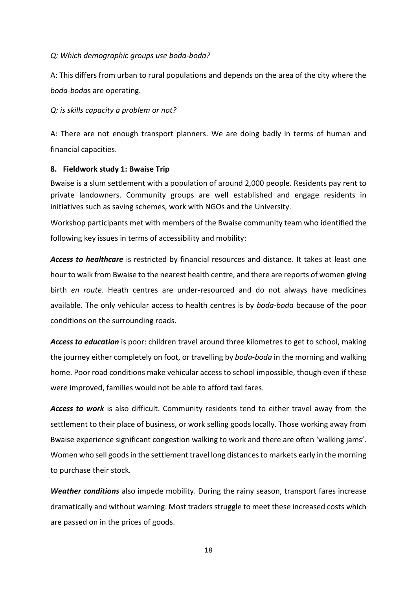## *Q: Which demographic groups use boda-boda?*

A: This differs from urban to rural populations and depends on the area of the city where the *boda-boda*s are operating.

*Q: is skills capacity a problem or not?*

A: There are not enough transport planners. We are doing badly in terms of human and financial capacities.

## <span id="page-17-0"></span>**8. Fieldwork study 1: Bwaise Trip**

Bwaise is a slum settlement with a population of around 2,000 people. Residents pay rent to private landowners. Community groups are well established and engage residents in initiatives such as saving schemes, work with NGOs and the University.

Workshop participants met with members of the Bwaise community team who identified the following key issues in terms of accessibility and mobility:

*Access to healthcare* is restricted by financial resources and distance. It takes at least one hour to walk from Bwaise to the nearest health centre, and there are reports of women giving birth *en route*. Heath centres are under-resourced and do not always have medicines available. The only vehicular access to health centres is by *boda-boda* because of the poor conditions on the surrounding roads.

*Access to education* is poor: children travel around three kilometres to get to school, making the journey either completely on foot, or travelling by *boda-boda* in the morning and walking home. Poor road conditions make vehicular access to school impossible, though even if these were improved, families would not be able to afford taxi fares.

*Access to work* is also difficult. Community residents tend to either travel away from the settlement to their place of business, or work selling goods locally. Those working away from Bwaise experience significant congestion walking to work and there are often 'walking jams'. Women who sell goods in the settlement travel long distances to markets early in the morning to purchase their stock.

*Weather conditions* also impede mobility. During the rainy season, transport fares increase dramatically and without warning. Most traders struggle to meet these increased costs which are passed on in the prices of goods.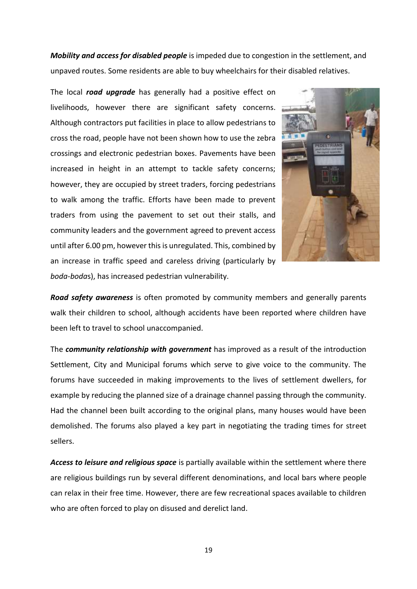*Mobility and access for disabled people* is impeded due to congestion in the settlement, and unpaved routes. Some residents are able to buy wheelchairs for their disabled relatives.

The local *road upgrade* has generally had a positive effect on livelihoods, however there are significant safety concerns. Although contractors put facilities in place to allow pedestrians to cross the road, people have not been shown how to use the zebra crossings and electronic pedestrian boxes. Pavements have been increased in height in an attempt to tackle safety concerns; however, they are occupied by street traders, forcing pedestrians to walk among the traffic. Efforts have been made to prevent traders from using the pavement to set out their stalls, and community leaders and the government agreed to prevent access until after 6.00 pm, however this is unregulated. This, combined by an increase in traffic speed and careless driving (particularly by *boda-boda*s), has increased pedestrian vulnerability.



*Road safety awareness* is often promoted by community members and generally parents walk their children to school, although accidents have been reported where children have been left to travel to school unaccompanied.

The *community relationship with government* has improved as a result of the introduction Settlement, City and Municipal forums which serve to give voice to the community. The forums have succeeded in making improvements to the lives of settlement dwellers, for example by reducing the planned size of a drainage channel passing through the community. Had the channel been built according to the original plans, many houses would have been demolished. The forums also played a key part in negotiating the trading times for street sellers.

*Access to leisure and religious space* is partially available within the settlement where there are religious buildings run by several different denominations, and local bars where people can relax in their free time. However, there are few recreational spaces available to children who are often forced to play on disused and derelict land.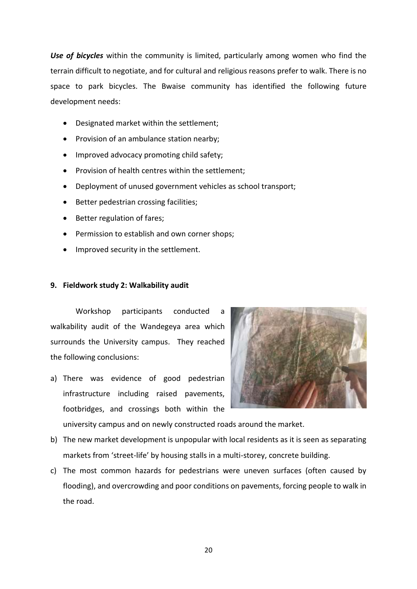*Use of bicycles* within the community is limited, particularly among women who find the terrain difficult to negotiate, and for cultural and religious reasons prefer to walk. There is no space to park bicycles. The Bwaise community has identified the following future development needs:

- Designated market within the settlement;
- Provision of an ambulance station nearby;
- Improved advocacy promoting child safety;
- Provision of health centres within the settlement:
- Deployment of unused government vehicles as school transport;
- Better pedestrian crossing facilities;
- Better regulation of fares;
- Permission to establish and own corner shops;
- Improved security in the settlement.

### <span id="page-19-0"></span>**9. Fieldwork study 2: Walkability audit**

Workshop participants conducted a walkability audit of the Wandegeya area which surrounds the University campus. They reached the following conclusions:

a) There was evidence of good pedestrian infrastructure including raised pavements, footbridges, and crossings both within the



university campus and on newly constructed roads around the market.

- b) The new market development is unpopular with local residents as it is seen as separating markets from 'street-life' by housing stalls in a multi-storey, concrete building.
- c) The most common hazards for pedestrians were uneven surfaces (often caused by flooding), and overcrowding and poor conditions on pavements, forcing people to walk in the road.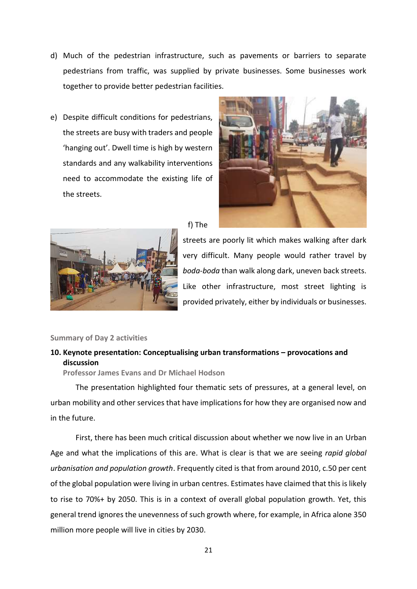- d) Much of the pedestrian infrastructure, such as pavements or barriers to separate pedestrians from traffic, was supplied by private businesses. Some businesses work together to provide better pedestrian facilities.
- e) Despite difficult conditions for pedestrians, the streets are busy with traders and people 'hanging out'. Dwell time is high by western standards and any walkability interventions need to accommodate the existing life of the streets.





## f) The

streets are poorly lit which makes walking after dark very difficult. Many people would rather travel by *boda-boda* than walk along dark, uneven back streets. Like other infrastructure, most street lighting is provided privately, either by individuals or businesses.

#### <span id="page-20-0"></span>**Summary of Day 2 activities**

## <span id="page-20-1"></span>**10. Keynote presentation: Conceptualising urban transformations – provocations and discussion**

**Professor James Evans and Dr Michael Hodson**

The presentation highlighted four thematic sets of pressures, at a general level, on urban mobility and other services that have implications for how they are organised now and in the future.

First, there has been much critical discussion about whether we now live in an Urban Age and what the implications of this are. What is clear is that we are seeing *rapid global urbanisation and population growth*. Frequently cited is that from around 2010, c.50 per cent of the global population were living in urban centres. Estimates have claimed that this is likely to rise to 70%+ by 2050. This is in a context of overall global population growth. Yet, this general trend ignores the unevenness of such growth where, for example, in Africa alone 350 million more people will live in cities by 2030.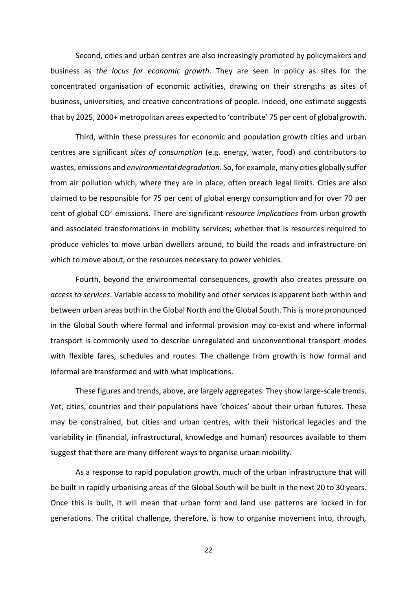Second, cities and urban centres are also increasingly promoted by policymakers and business as *the locus for economic growth*. They are seen in policy as sites for the concentrated organisation of economic activities, drawing on their strengths as sites of business, universities, and creative concentrations of people. Indeed, one estimate suggests that by 2025, 2000+ metropolitan areas expected to 'contribute' 75 per cent of global growth.

Third, within these pressures for economic and population growth cities and urban centres are significant *sites of consumption* (e.g. energy, water, food) and contributors to wastes, emissions and *environmental degradation*. So, for example, many cities globally suffer from air pollution which, where they are in place, often breach legal limits. Cities are also claimed to be responsible for 75 per cent of global energy consumption and for over 70 per cent of global CO<sup>2</sup> emissions. There are significant *resource implications* from urban growth and associated transformations in mobility services; whether that is resources required to produce vehicles to move urban dwellers around, to build the roads and infrastructure on which to move about, or the resources necessary to power vehicles.

Fourth, beyond the environmental consequences, growth also creates pressure on *access to services*. Variable access to mobility and other services is apparent both within and between urban areas both in the Global North and the Global South. This is more pronounced in the Global South where formal and informal provision may co-exist and where informal transport is commonly used to describe unregulated and unconventional transport modes with flexible fares, schedules and routes. The challenge from growth is how formal and informal are transformed and with what implications.

These figures and trends, above, are largely aggregates. They show large-scale trends. Yet, cities, countries and their populations have 'choices' about their urban futures. These may be constrained, but cities and urban centres, with their historical legacies and the variability in (financial, infrastructural, knowledge and human) resources available to them suggest that there are many different ways to organise urban mobility.

As a response to rapid population growth, much of the urban infrastructure that will be built in rapidly urbanising areas of the Global South will be built in the next 20 to 30 years. Once this is built, it will mean that urban form and land use patterns are locked in for generations. The critical challenge, therefore, is how to organise movement into, through,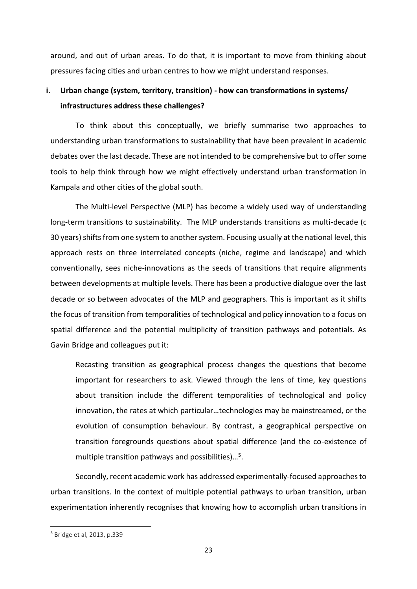around, and out of urban areas. To do that, it is important to move from thinking about pressures facing cities and urban centres to how we might understand responses.

# **i. Urban change (system, territory, transition) - how can transformations in systems/ infrastructures address these challenges?**

To think about this conceptually, we briefly summarise two approaches to understanding urban transformations to sustainability that have been prevalent in academic debates over the last decade. These are not intended to be comprehensive but to offer some tools to help think through how we might effectively understand urban transformation in Kampala and other cities of the global south.

The Multi-level Perspective (MLP) has become a widely used way of understanding long-term transitions to sustainability. The MLP understands transitions as multi-decade (c 30 years) shifts from one system to another system. Focusing usually at the national level, this approach rests on three interrelated concepts (niche, regime and landscape) and which conventionally, sees niche-innovations as the seeds of transitions that require alignments between developments at multiple levels. There has been a productive dialogue over the last decade or so between advocates of the MLP and geographers. This is important as it shifts the focus of transition from temporalities of technological and policy innovation to a focus on spatial difference and the potential multiplicity of transition pathways and potentials. As Gavin Bridge and colleagues put it:

Recasting transition as geographical process changes the questions that become important for researchers to ask. Viewed through the lens of time, key questions about transition include the different temporalities of technological and policy innovation, the rates at which particular…technologies may be mainstreamed, or the evolution of consumption behaviour. By contrast, a geographical perspective on transition foregrounds questions about spatial difference (and the co-existence of multiple transition pathways and possibilities)...<sup>5</sup>.

Secondly, recent academic work has addressed experimentally-focused approaches to urban transitions. In the context of multiple potential pathways to urban transition, urban experimentation inherently recognises that knowing how to accomplish urban transitions in

**.** 

<sup>5</sup> Bridge et al, 2013, p.339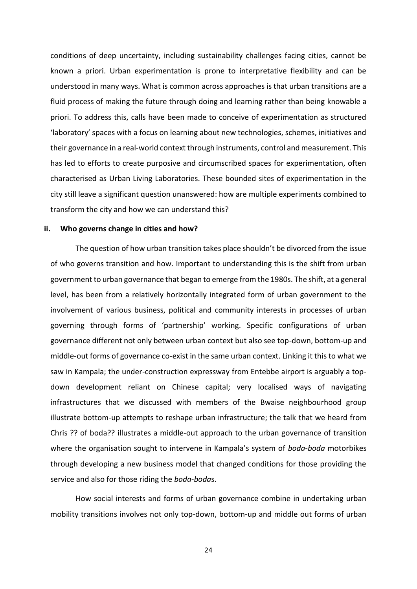conditions of deep uncertainty, including sustainability challenges facing cities, cannot be known a priori. Urban experimentation is prone to interpretative flexibility and can be understood in many ways. What is common across approaches is that urban transitions are a fluid process of making the future through doing and learning rather than being knowable a priori. To address this, calls have been made to conceive of experimentation as structured 'laboratory' spaces with a focus on learning about new technologies, schemes, initiatives and their governance in a real-world context through instruments, control and measurement. This has led to efforts to create purposive and circumscribed spaces for experimentation, often characterised as Urban Living Laboratories. These bounded sites of experimentation in the city still leave a significant question unanswered: how are multiple experiments combined to transform the city and how we can understand this?

#### **ii. Who governs change in cities and how?**

The question of how urban transition takes place shouldn't be divorced from the issue of who governs transition and how. Important to understanding this is the shift from urban government to urban governance that began to emerge from the 1980s. The shift, at a general level, has been from a relatively horizontally integrated form of urban government to the involvement of various business, political and community interests in processes of urban governing through forms of 'partnership' working. Specific configurations of urban governance different not only between urban context but also see top-down, bottom-up and middle-out forms of governance co-exist in the same urban context. Linking it this to what we saw in Kampala; the under-construction expressway from Entebbe airport is arguably a topdown development reliant on Chinese capital; very localised ways of navigating infrastructures that we discussed with members of the Bwaise neighbourhood group illustrate bottom-up attempts to reshape urban infrastructure; the talk that we heard from Chris ?? of boda?? illustrates a middle-out approach to the urban governance of transition where the organisation sought to intervene in Kampala's system of *boda-boda* motorbikes through developing a new business model that changed conditions for those providing the service and also for those riding the *boda-boda*s.

How social interests and forms of urban governance combine in undertaking urban mobility transitions involves not only top-down, bottom-up and middle out forms of urban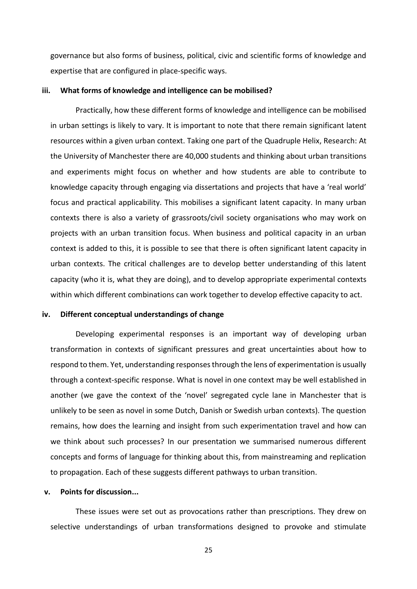governance but also forms of business, political, civic and scientific forms of knowledge and expertise that are configured in place-specific ways.

#### **iii. What forms of knowledge and intelligence can be mobilised?**

Practically, how these different forms of knowledge and intelligence can be mobilised in urban settings is likely to vary. It is important to note that there remain significant latent resources within a given urban context. Taking one part of the Quadruple Helix, Research: At the University of Manchester there are 40,000 students and thinking about urban transitions and experiments might focus on whether and how students are able to contribute to knowledge capacity through engaging via dissertations and projects that have a 'real world' focus and practical applicability. This mobilises a significant latent capacity. In many urban contexts there is also a variety of grassroots/civil society organisations who may work on projects with an urban transition focus. When business and political capacity in an urban context is added to this, it is possible to see that there is often significant latent capacity in urban contexts. The critical challenges are to develop better understanding of this latent capacity (who it is, what they are doing), and to develop appropriate experimental contexts within which different combinations can work together to develop effective capacity to act.

#### **iv. Different conceptual understandings of change**

Developing experimental responses is an important way of developing urban transformation in contexts of significant pressures and great uncertainties about how to respond to them. Yet, understanding responses through the lens of experimentation is usually through a context-specific response. What is novel in one context may be well established in another (we gave the context of the 'novel' segregated cycle lane in Manchester that is unlikely to be seen as novel in some Dutch, Danish or Swedish urban contexts). The question remains, how does the learning and insight from such experimentation travel and how can we think about such processes? In our presentation we summarised numerous different concepts and forms of language for thinking about this, from mainstreaming and replication to propagation. Each of these suggests different pathways to urban transition.

#### **v. Points for discussion...**

These issues were set out as provocations rather than prescriptions. They drew on selective understandings of urban transformations designed to provoke and stimulate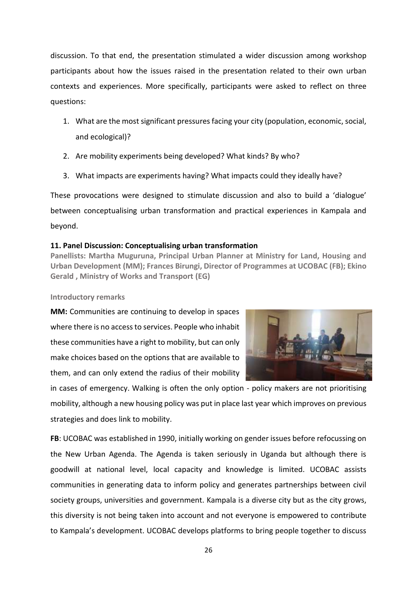discussion. To that end, the presentation stimulated a wider discussion among workshop participants about how the issues raised in the presentation related to their own urban contexts and experiences. More specifically, participants were asked to reflect on three questions:

- 1. What are the most significant pressures facing your city (population, economic, social, and ecological)?
- 2. Are mobility experiments being developed? What kinds? By who?
- 3. What impacts are experiments having? What impacts could they ideally have?

These provocations were designed to stimulate discussion and also to build a 'dialogue' between conceptualising urban transformation and practical experiences in Kampala and beyond.

### <span id="page-25-0"></span>**11. Panel Discussion: Conceptualising urban transformation**

**Panellists: Martha Muguruna, Principal Urban Planner at Ministry for Land, Housing and Urban Development (MM); Frances Birungi, Director of Programmes at UCOBAC (FB); Ekino Gerald , Ministry of Works and Transport (EG)**

#### **Introductory remarks**

**MM:** Communities are continuing to develop in spaces where there is no access to services. People who inhabit these communities have a right to mobility, but can only make choices based on the options that are available to them, and can only extend the radius of their mobility



in cases of emergency. Walking is often the only option - policy makers are not prioritising mobility, although a new housing policy was put in place last year which improves on previous strategies and does link to mobility.

**FB**: UCOBAC was established in 1990, initially working on gender issues before refocussing on the New Urban Agenda. The Agenda is taken seriously in Uganda but although there is goodwill at national level, local capacity and knowledge is limited. UCOBAC assists communities in generating data to inform policy and generates partnerships between civil society groups, universities and government. Kampala is a diverse city but as the city grows, this diversity is not being taken into account and not everyone is empowered to contribute to Kampala's development. UCOBAC develops platforms to bring people together to discuss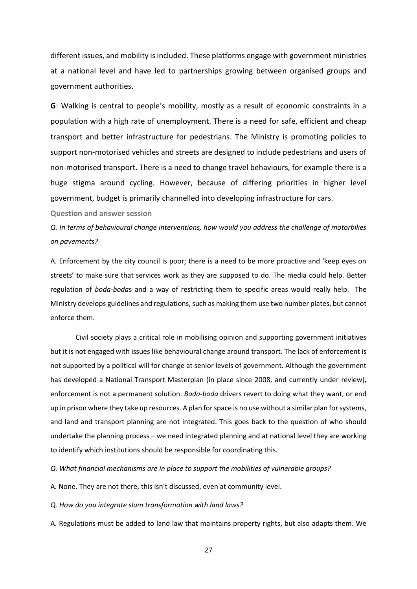different issues, and mobility is included. These platforms engage with government ministries at a national level and have led to partnerships growing between organised groups and government authorities.

**G**: Walking is central to people's mobility, mostly as a result of economic constraints in a population with a high rate of unemployment. There is a need for safe, efficient and cheap transport and better infrastructure for pedestrians. The Ministry is promoting policies to support non-motorised vehicles and streets are designed to include pedestrians and users of non-motorised transport. There is a need to change travel behaviours, for example there is a huge stigma around cycling. However, because of differing priorities in higher level government, budget is primarily channelled into developing infrastructure for cars.

**Question and answer session**

*Q. In terms of behavioural change interventions, how would you address the challenge of motorbikes on pavements?*

A. Enforcement by the city council is poor; there is a need to be more proactive and 'keep eyes on streets' to make sure that services work as they are supposed to do. The media could help. Better regulation of *boda-boda*s and a way of restricting them to specific areas would really help. The Ministry develops guidelines and regulations, such as making them use two number plates, but cannot enforce them.

Civil society plays a critical role in mobilising opinion and supporting government initiatives but it is not engaged with issues like behavioural change around transport. The lack of enforcement is not supported by a political will for change at senior levels of government. Although the government has developed a National Transport Masterplan (in place since 2008, and currently under review), enforcement is not a permanent solution. *Boda-boda* drivers revert to doing what they want, or end up in prison where they take up resources. A plan for space is no use without a similar plan for systems, and land and transport planning are not integrated. This goes back to the question of who should undertake the planning process – we need integrated planning and at national level they are working to identify which institutions should be responsible for coordinating this.

*Q. What financial mechanisms are in place to support the mobilities of vulnerable groups?*

A. None. They are not there, this isn't discussed, even at community level.

*Q. How do you integrate slum transformation with land laws?*

A. Regulations must be added to land law that maintains property rights, but also adapts them. We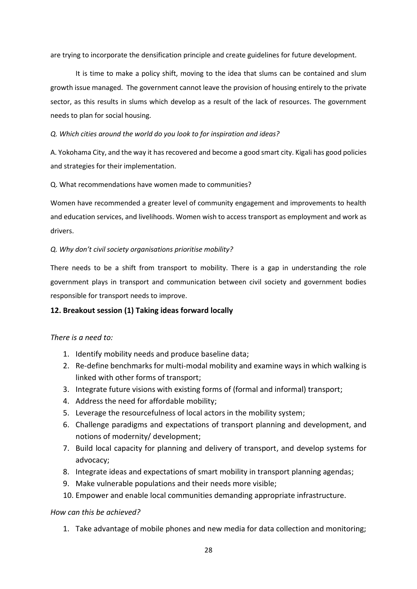are trying to incorporate the densification principle and create guidelines for future development.

It is time to make a policy shift, moving to the idea that slums can be contained and slum growth issue managed. The government cannot leave the provision of housing entirely to the private sector, as this results in slums which develop as a result of the lack of resources. The government needs to plan for social housing.

*Q. Which cities around the world do you look to for inspiration and ideas?*

A. Yokohama City, and the way it has recovered and become a good smart city. Kigali has good policies and strategies for their implementation.

Q. What recommendations have women made to communities?

Women have recommended a greater level of community engagement and improvements to health and education services, and livelihoods. Women wish to access transport as employment and work as drivers.

### *Q. Why don't civil society organisations prioritise mobility?*

There needs to be a shift from transport to mobility. There is a gap in understanding the role government plays in transport and communication between civil society and government bodies responsible for transport needs to improve.

## <span id="page-27-0"></span>**12. Breakout session (1) Taking ideas forward locally**

## *There is a need to:*

- 1. Identify mobility needs and produce baseline data;
- 2. Re-define benchmarks for multi-modal mobility and examine ways in which walking is linked with other forms of transport;
- 3. Integrate future visions with existing forms of (formal and informal) transport;
- 4. Address the need for affordable mobility;
- 5. Leverage the resourcefulness of local actors in the mobility system;
- 6. Challenge paradigms and expectations of transport planning and development, and notions of modernity/ development;
- 7. Build local capacity for planning and delivery of transport, and develop systems for advocacy;
- 8. Integrate ideas and expectations of smart mobility in transport planning agendas;
- 9. Make vulnerable populations and their needs more visible;
- 10. Empower and enable local communities demanding appropriate infrastructure.

## *How can this be achieved?*

1. Take advantage of mobile phones and new media for data collection and monitoring;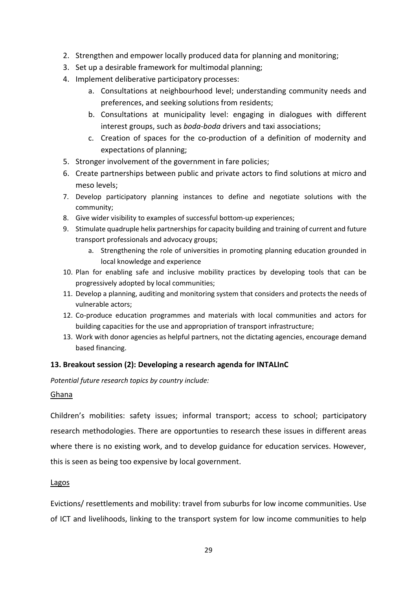- 2. Strengthen and empower locally produced data for planning and monitoring;
- 3. Set up a desirable framework for multimodal planning;
- 4. Implement deliberative participatory processes:
	- a. Consultations at neighbourhood level; understanding community needs and preferences, and seeking solutions from residents;
	- b. Consultations at municipality level: engaging in dialogues with different interest groups, such as *boda-boda* drivers and taxi associations;
	- c. Creation of spaces for the co-production of a definition of modernity and expectations of planning;
- 5. Stronger involvement of the government in fare policies;
- 6. Create partnerships between public and private actors to find solutions at micro and meso levels;
- 7. Develop participatory planning instances to define and negotiate solutions with the community;
- 8. Give wider visibility to examples of successful bottom-up experiences;
- 9. Stimulate quadruple helix partnerships for capacity building and training of current and future transport professionals and advocacy groups;
	- a. Strengthening the role of universities in promoting planning education grounded in local knowledge and experience
- 10. Plan for enabling safe and inclusive mobility practices by developing tools that can be progressively adopted by local communities;
- 11. Develop a planning, auditing and monitoring system that considers and protects the needs of vulnerable actors;
- 12. Co-produce education programmes and materials with local communities and actors for building capacities for the use and appropriation of transport infrastructure;
- 13. Work with donor agencies as helpful partners, not the dictating agencies, encourage demand based financing.

## <span id="page-28-0"></span>**13. Breakout session (2): Developing a research agenda for INTALInC**

*Potential future research topics by country include:*

## Ghana

Children's mobilities: safety issues; informal transport; access to school; participatory research methodologies. There are opportunties to research these issues in different areas where there is no existing work, and to develop guidance for education services. However, this is seen as being too expensive by local government.

## Lagos

Evictions/ resettlements and mobility: travel from suburbs for low income communities. Use of ICT and livelihoods, linking to the transport system for low income communities to help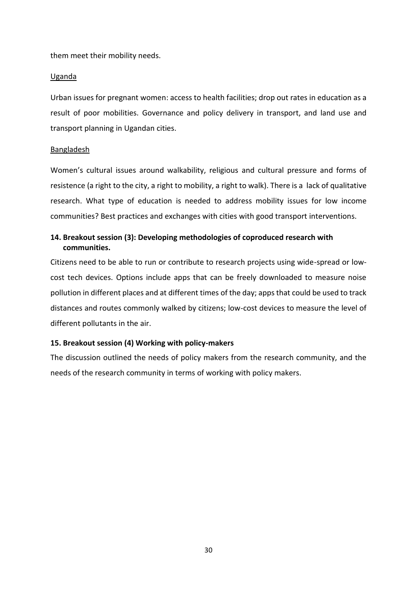them meet their mobility needs.

### Uganda

Urban issues for pregnant women: access to health facilities; drop out rates in education as a result of poor mobilities. Governance and policy delivery in transport, and land use and transport planning in Ugandan cities.

### Bangladesh

Women's cultural issues around walkability, religious and cultural pressure and forms of resistence (a right to the city, a right to mobility, a right to walk). There is a lack of qualitative research. What type of education is needed to address mobility issues for low income communities? Best practices and exchanges with cities with good transport interventions.

## <span id="page-29-0"></span>**14. Breakout session (3): Developing methodologies of coproduced research with communities.**

Citizens need to be able to run or contribute to research projects using wide-spread or lowcost tech devices. Options include apps that can be freely downloaded to measure noise pollution in different places and at different times of the day; apps that could be used to track distances and routes commonly walked by citizens; low-cost devices to measure the level of different pollutants in the air.

## <span id="page-29-1"></span>**15. Breakout session (4) Working with policy-makers**

The discussion outlined the needs of policy makers from the research community, and the needs of the research community in terms of working with policy makers.